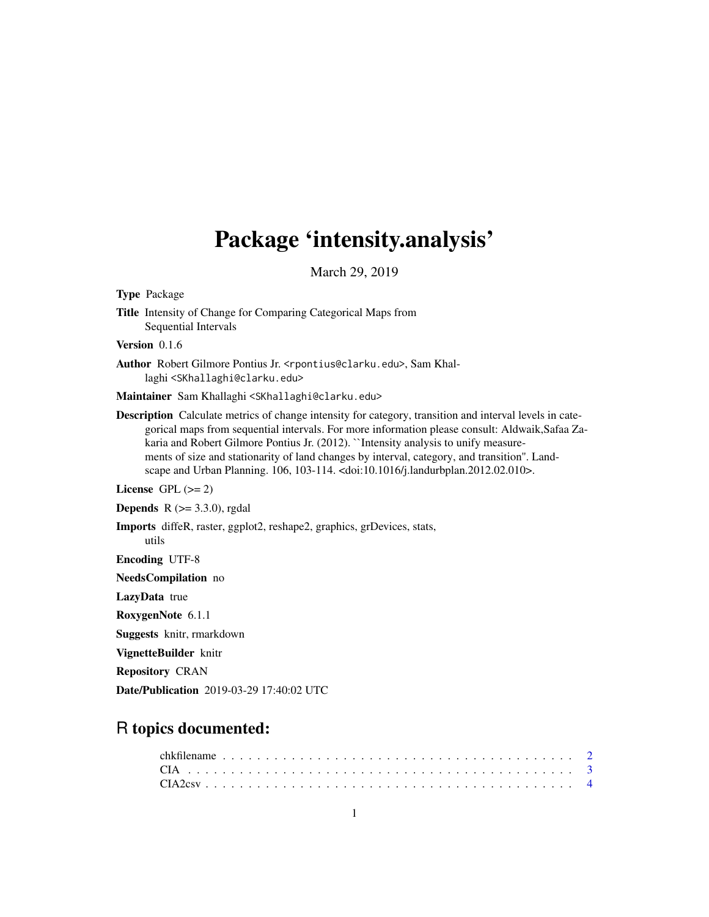# Package 'intensity.analysis'

March 29, 2019

Type Package Title Intensity of Change for Comparing Categorical Maps from Sequential Intervals Version 0.1.6 Author Robert Gilmore Pontius Jr. <rpontius@clarku.edu>, Sam Khallaghi <SKhallaghi@clarku.edu> Maintainer Sam Khallaghi <SKhallaghi@clarku.edu> Description Calculate metrics of change intensity for category, transition and interval levels in categorical maps from sequential intervals. For more information please consult: Aldwaik,Safaa Zakaria and Robert Gilmore Pontius Jr. (2012). "Intensity analysis to unify measurements of size and stationarity of land changes by interval, category, and transition''. Landscape and Urban Planning. 106, 103-114. <doi:10.1016/j.landurbplan.2012.02.010>. License GPL  $(>= 2)$ **Depends** R  $(>= 3.3.0)$ , rgdal Imports diffeR, raster, ggplot2, reshape2, graphics, grDevices, stats, utils Encoding UTF-8 NeedsCompilation no LazyData true RoxygenNote 6.1.1 Suggests knitr, rmarkdown VignetteBuilder knitr Repository CRAN Date/Publication 2019-03-29 17:40:02 UTC

# R topics documented: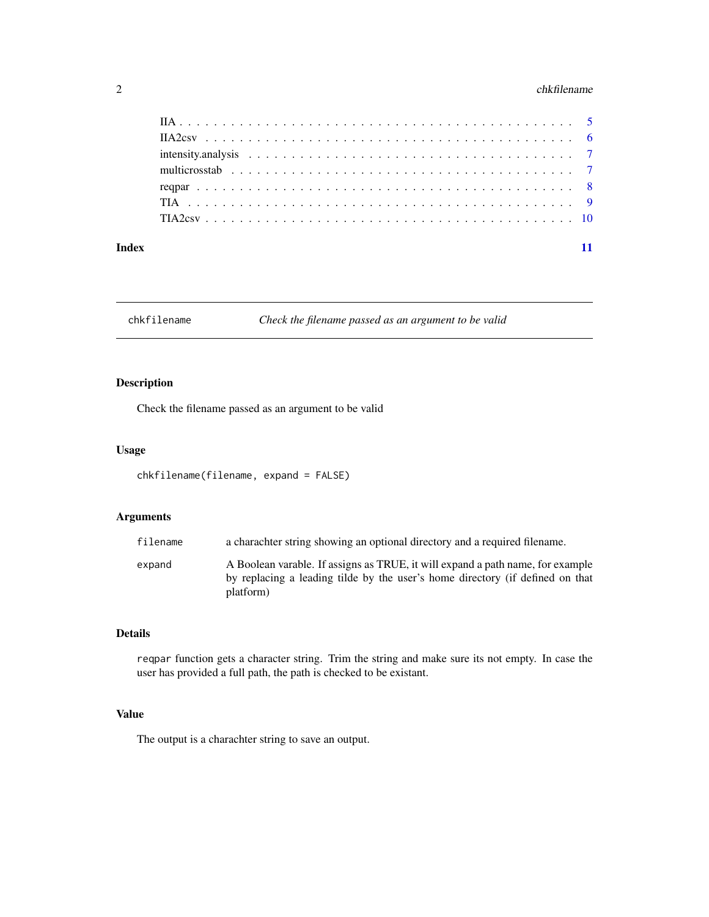# <span id="page-1-0"></span> $2 \t\t \text{chkfilename}$

#### **Index** [11](#page-10-0)

chkfilename *Check the filename passed as an argument to be valid*

# Description

Check the filename passed as an argument to be valid

# Usage

```
chkfilename(filename, expand = FALSE)
```
# Arguments

| filename | a charachter string showing an optional directory and a required filename.                                                                                                   |
|----------|------------------------------------------------------------------------------------------------------------------------------------------------------------------------------|
| expand   | A Boolean varable. If assigns as TRUE, it will expand a path name, for example<br>by replacing a leading tilde by the user's home directory (if defined on that<br>platform) |

# Details

reqpar function gets a character string. Trim the string and make sure its not empty. In case the user has provided a full path, the path is checked to be existant.

# Value

The output is a charachter string to save an output.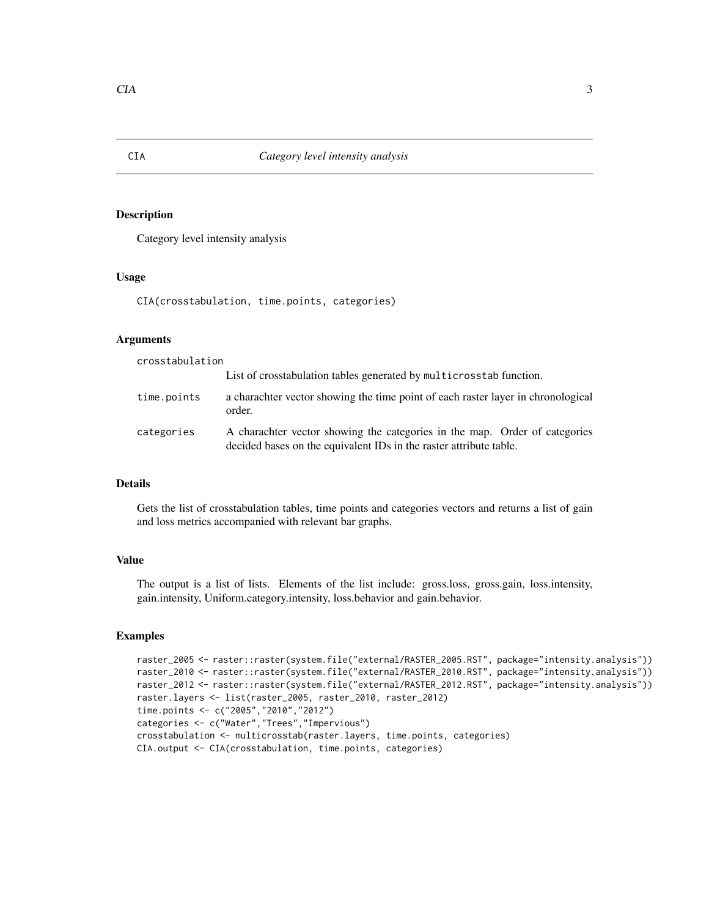Category level intensity analysis

### Usage

CIA(crosstabulation, time.points, categories)

# Arguments

crosstabulation

|             | List of crosstabulation tables generated by multicrosstab function.                                                                              |
|-------------|--------------------------------------------------------------------------------------------------------------------------------------------------|
| time.points | a charachter vector showing the time point of each raster layer in chronological<br>order.                                                       |
| categories  | A charachter vector showing the categories in the map. Order of categories<br>decided bases on the equivalent IDs in the raster attribute table. |

# Details

Gets the list of crosstabulation tables, time points and categories vectors and returns a list of gain and loss metrics accompanied with relevant bar graphs.

# Value

The output is a list of lists. Elements of the list include: gross.loss, gross.gain, loss.intensity, gain.intensity, Uniform.category.intensity, loss.behavior and gain.behavior.

```
raster_2005 <- raster::raster(system.file("external/RASTER_2005.RST", package="intensity.analysis"))
raster_2010 <- raster::raster(system.file("external/RASTER_2010.RST", package="intensity.analysis"))
raster_2012 <- raster::raster(system.file("external/RASTER_2012.RST", package="intensity.analysis"))
raster.layers <- list(raster_2005, raster_2010, raster_2012)
time.points <- c("2005","2010","2012")
categories <- c("Water","Trees","Impervious")
crosstabulation <- multicrosstab(raster.layers, time.points, categories)
CIA.output <- CIA(crosstabulation, time.points, categories)
```
<span id="page-2-0"></span>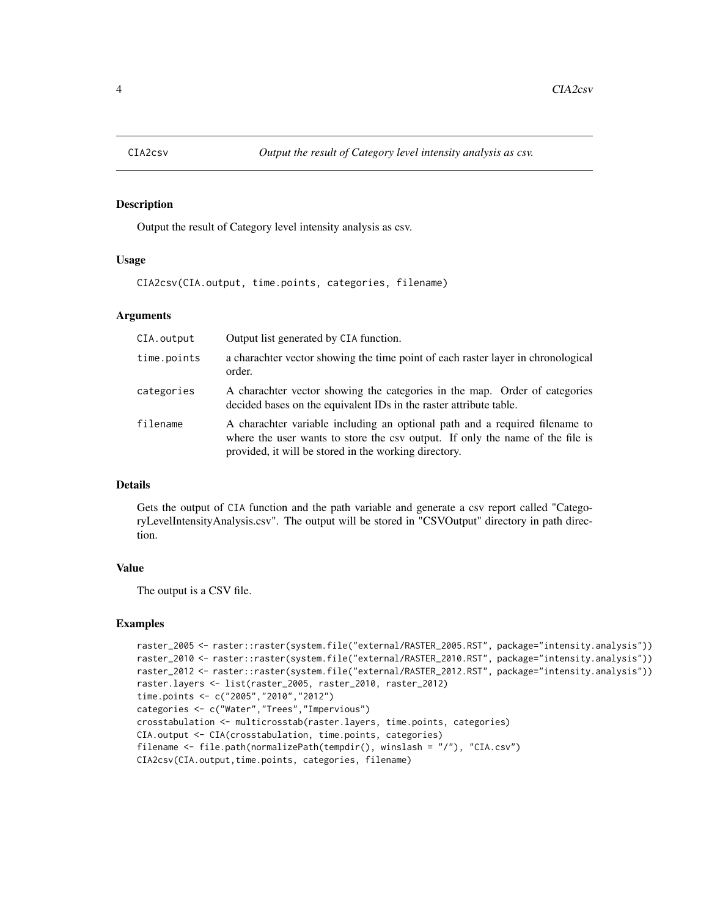<span id="page-3-0"></span>

Output the result of Category level intensity analysis as csv.

# Usage

CIA2csv(CIA.output, time.points, categories, filename)

# Arguments

| CIA.output  | Output list generated by CIA function.                                                                                                                                                                                |
|-------------|-----------------------------------------------------------------------------------------------------------------------------------------------------------------------------------------------------------------------|
| time.points | a charachter vector showing the time point of each raster layer in chronological<br>order.                                                                                                                            |
| categories  | A charachter vector showing the categories in the map. Order of categories<br>decided bases on the equivalent IDs in the raster attribute table.                                                                      |
| filename    | A charachter variable including an optional path and a required filename to<br>where the user wants to store the csy output. If only the name of the file is<br>provided, it will be stored in the working directory. |

# Details

Gets the output of CIA function and the path variable and generate a csv report called "CategoryLevelIntensityAnalysis.csv". The output will be stored in "CSVOutput" directory in path direction.

#### Value

The output is a CSV file.

```
raster_2005 <- raster::raster(system.file("external/RASTER_2005.RST", package="intensity.analysis"))
raster_2010 <- raster::raster(system.file("external/RASTER_2010.RST", package="intensity.analysis"))
raster_2012 <- raster::raster(system.file("external/RASTER_2012.RST", package="intensity.analysis"))
raster.layers <- list(raster_2005, raster_2010, raster_2012)
time.points <- c("2005","2010","2012")
categories <- c("Water","Trees","Impervious")
crosstabulation <- multicrosstab(raster.layers, time.points, categories)
CIA.output <- CIA(crosstabulation, time.points, categories)
filename <- file.path(normalizePath(tempdir(), winslash = "/"), "CIA.csv")
CIA2csv(CIA.output,time.points, categories, filename)
```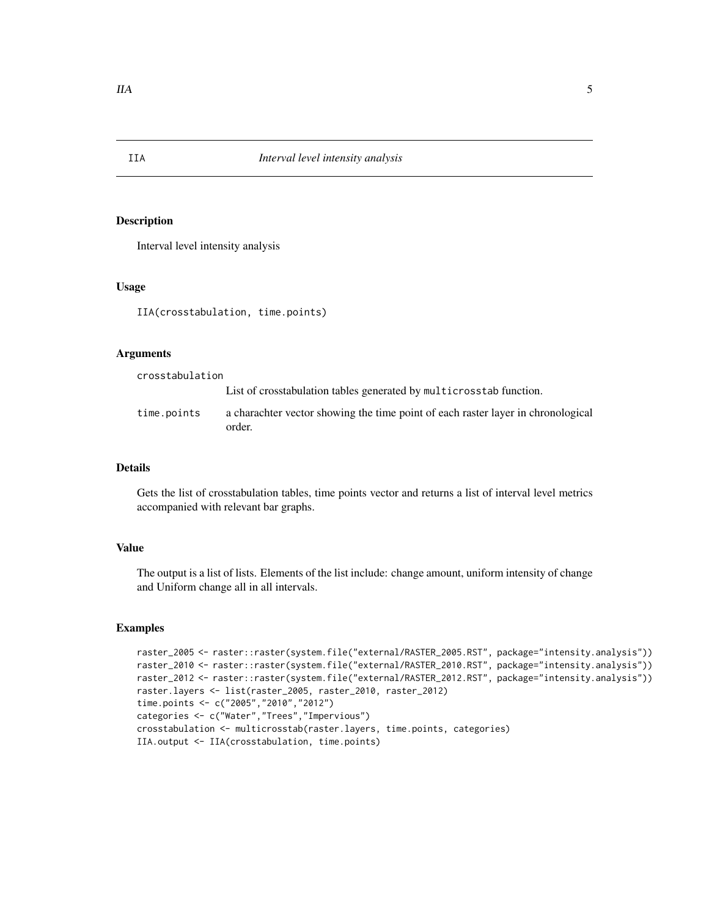Interval level intensity analysis

#### Usage

IIA(crosstabulation, time.points)

#### Arguments

crosstabulation List of crosstabulation tables generated by multicrosstab function. time.points a charachter vector showing the time point of each raster layer in chronological order.

#### Details

Gets the list of crosstabulation tables, time points vector and returns a list of interval level metrics accompanied with relevant bar graphs.

# Value

The output is a list of lists. Elements of the list include: change amount, uniform intensity of change and Uniform change all in all intervals.

```
raster_2005 <- raster::raster(system.file("external/RASTER_2005.RST", package="intensity.analysis"))
raster_2010 <- raster::raster(system.file("external/RASTER_2010.RST", package="intensity.analysis"))
raster_2012 <- raster::raster(system.file("external/RASTER_2012.RST", package="intensity.analysis"))
raster.layers <- list(raster_2005, raster_2010, raster_2012)
time.points <- c("2005","2010","2012")
categories <- c("Water","Trees","Impervious")
crosstabulation <- multicrosstab(raster.layers, time.points, categories)
IIA.output <- IIA(crosstabulation, time.points)
```
<span id="page-4-0"></span>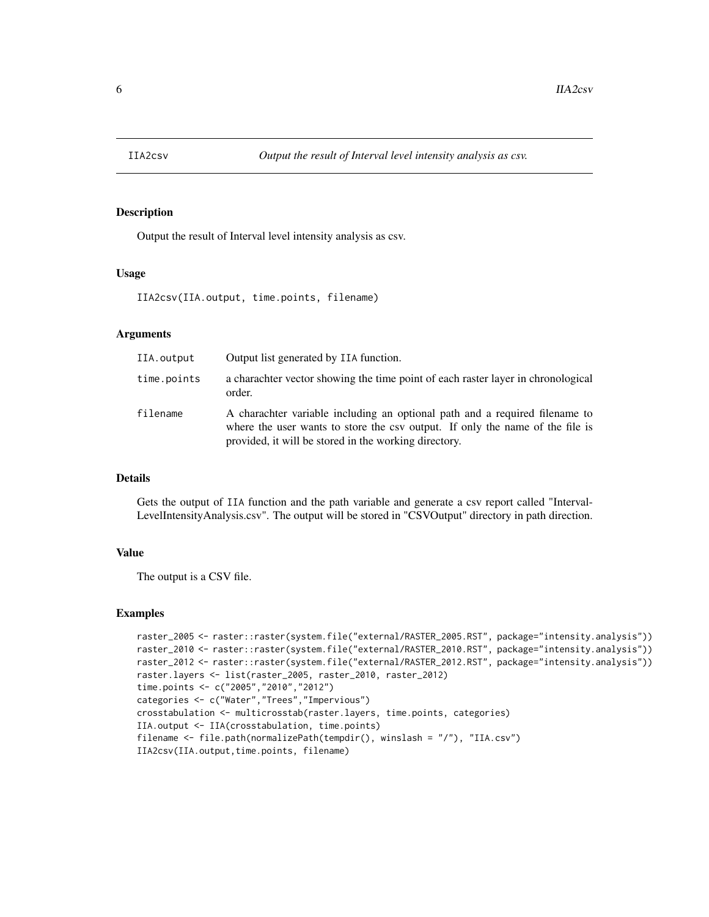<span id="page-5-0"></span>

Output the result of Interval level intensity analysis as csv.

# Usage

IIA2csv(IIA.output, time.points, filename)

### Arguments

| IIA.output  | Output list generated by IIA function.                                                                                                                                                                                |
|-------------|-----------------------------------------------------------------------------------------------------------------------------------------------------------------------------------------------------------------------|
| time.points | a charachter vector showing the time point of each raster layer in chronological<br>order.                                                                                                                            |
| filename    | A charachter variable including an optional path and a required filename to<br>where the user wants to store the csy output. If only the name of the file is<br>provided, it will be stored in the working directory. |

# Details

Gets the output of IIA function and the path variable and generate a csv report called "Interval-LevelIntensityAnalysis.csv". The output will be stored in "CSVOutput" directory in path direction.

#### Value

The output is a CSV file.

```
raster_2005 <- raster::raster(system.file("external/RASTER_2005.RST", package="intensity.analysis"))
raster_2010 <- raster::raster(system.file("external/RASTER_2010.RST", package="intensity.analysis"))
raster_2012 <- raster::raster(system.file("external/RASTER_2012.RST", package="intensity.analysis"))
raster.layers <- list(raster_2005, raster_2010, raster_2012)
time.points <- c("2005","2010","2012")
categories <- c("Water","Trees","Impervious")
crosstabulation <- multicrosstab(raster.layers, time.points, categories)
IIA.output <- IIA(crosstabulation, time.points)
filename <- file.path(normalizePath(tempdir(), winslash = "/"), "IIA.csv")
IIA2csv(IIA.output,time.points, filename)
```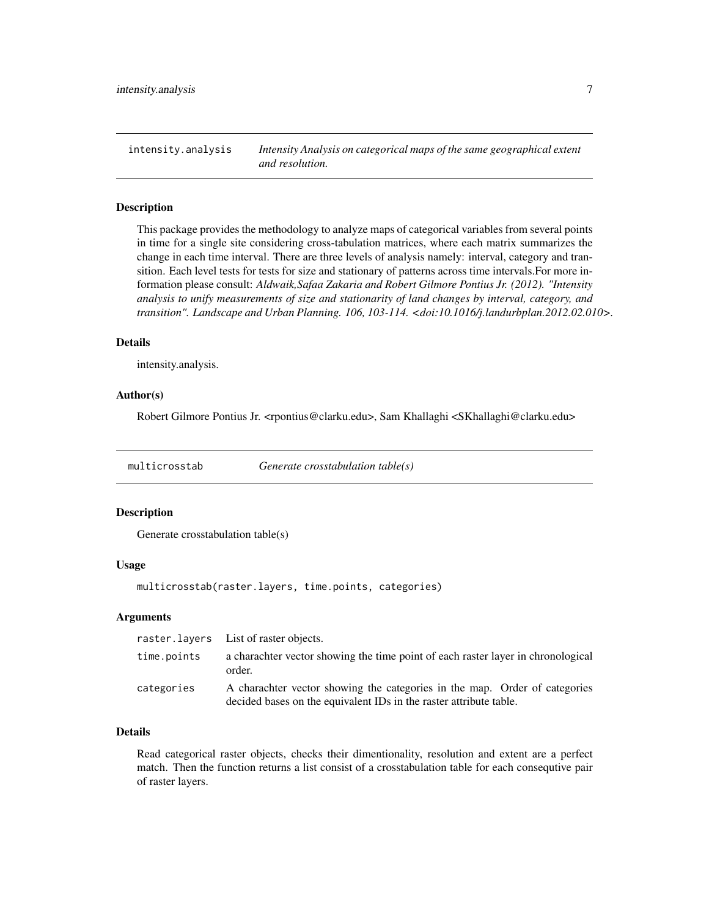<span id="page-6-0"></span>intensity.analysis *Intensity Analysis on categorical maps of the same geographical extent and resolution.*

#### Description

This package provides the methodology to analyze maps of categorical variables from several points in time for a single site considering cross-tabulation matrices, where each matrix summarizes the change in each time interval. There are three levels of analysis namely: interval, category and transition. Each level tests for tests for size and stationary of patterns across time intervals.For more information please consult: *Aldwaik,Safaa Zakaria and Robert Gilmore Pontius Jr. (2012). "Intensity analysis to unify measurements of size and stationarity of land changes by interval, category, and transition". Landscape and Urban Planning. 106, 103-114. <doi:10.1016/j.landurbplan.2012.02.010>.*

# Details

intensity.analysis.

#### Author(s)

Robert Gilmore Pontius Jr. <rpontius@clarku.edu>, Sam Khallaghi <SKhallaghi@clarku.edu>

multicrosstab *Generate crosstabulation table(s)*

### Description

Generate crosstabulation table(s)

# Usage

multicrosstab(raster.layers, time.points, categories)

#### Arguments

|             | raster. layers List of raster objects.                                                                                                           |
|-------------|--------------------------------------------------------------------------------------------------------------------------------------------------|
| time.points | a charachter vector showing the time point of each raster layer in chronological<br>order.                                                       |
| categories  | A charachter vector showing the categories in the map. Order of categories<br>decided bases on the equivalent IDs in the raster attribute table. |

# Details

Read categorical raster objects, checks their dimentionality, resolution and extent are a perfect match. Then the function returns a list consist of a crosstabulation table for each consequtive pair of raster layers.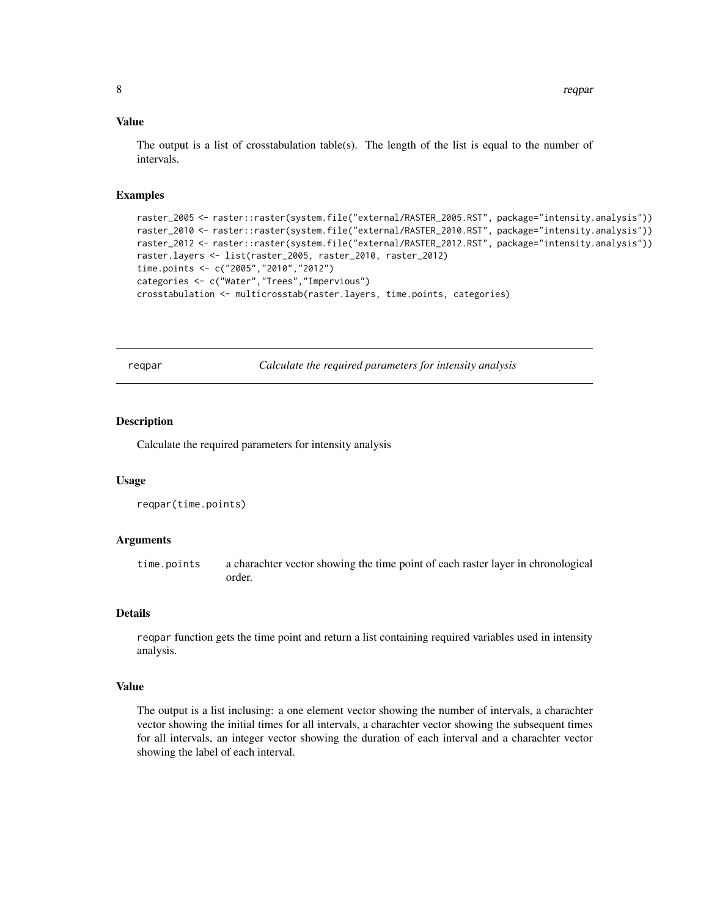# <span id="page-7-0"></span>Value

The output is a list of crosstabulation table(s). The length of the list is equal to the number of intervals.

#### Examples

```
raster_2005 <- raster::raster(system.file("external/RASTER_2005.RST", package="intensity.analysis"))
raster_2010 <- raster::raster(system.file("external/RASTER_2010.RST", package="intensity.analysis"))
raster_2012 <- raster::raster(system.file("external/RASTER_2012.RST", package="intensity.analysis"))
raster.layers <- list(raster_2005, raster_2010, raster_2012)
time.points <- c("2005","2010","2012")
categories <- c("Water","Trees","Impervious")
crosstabulation <- multicrosstab(raster.layers, time.points, categories)
```
reqpar *Calculate the required parameters for intensity analysis*

#### Description

Calculate the required parameters for intensity analysis

#### Usage

```
reqpar(time.points)
```
#### Arguments

time.points a charachter vector showing the time point of each raster layer in chronological order.

#### Details

reqpar function gets the time point and return a list containing required variables used in intensity analysis.

#### Value

The output is a list inclusing: a one element vector showing the number of intervals, a charachter vector showing the initial times for all intervals, a charachter vector showing the subsequent times for all intervals, an integer vector showing the duration of each interval and a charachter vector showing the label of each interval.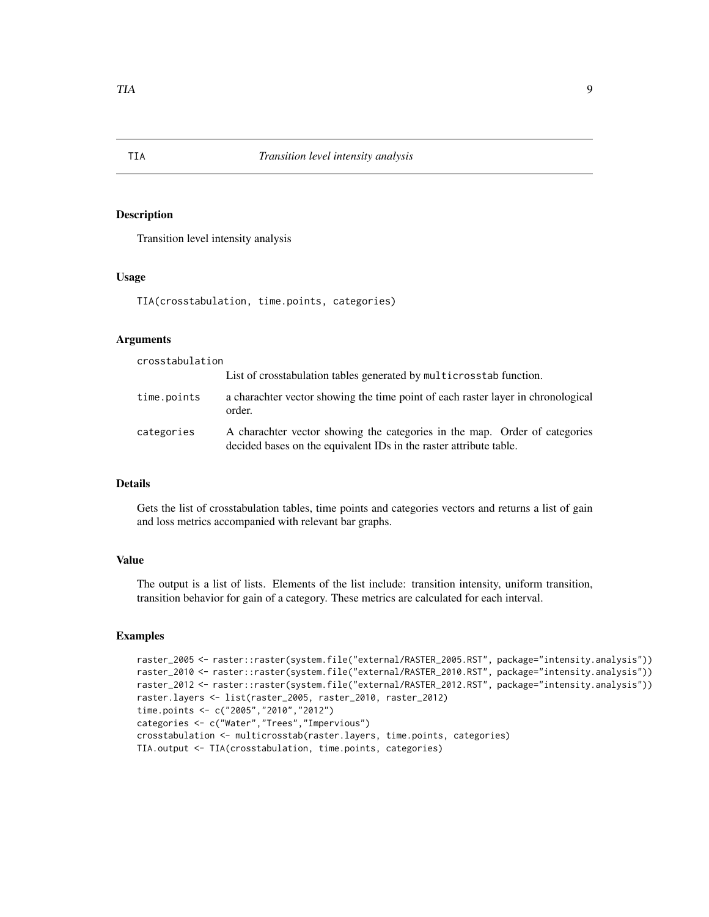Transition level intensity analysis

#### Usage

TIA(crosstabulation, time.points, categories)

# Arguments

crosstabulation

|             | List of crosstabulation tables generated by multicrosstab function.                                                                              |
|-------------|--------------------------------------------------------------------------------------------------------------------------------------------------|
| time.points | a charachter vector showing the time point of each raster layer in chronological<br>order.                                                       |
| categories  | A charachter vector showing the categories in the map. Order of categories<br>decided bases on the equivalent IDs in the raster attribute table. |

# Details

Gets the list of crosstabulation tables, time points and categories vectors and returns a list of gain and loss metrics accompanied with relevant bar graphs.

# Value

The output is a list of lists. Elements of the list include: transition intensity, uniform transition, transition behavior for gain of a category. These metrics are calculated for each interval.

```
raster_2005 <- raster::raster(system.file("external/RASTER_2005.RST", package="intensity.analysis"))
raster_2010 <- raster::raster(system.file("external/RASTER_2010.RST", package="intensity.analysis"))
raster_2012 <- raster::raster(system.file("external/RASTER_2012.RST", package="intensity.analysis"))
raster.layers <- list(raster_2005, raster_2010, raster_2012)
time.points <- c("2005","2010","2012")
categories <- c("Water","Trees","Impervious")
crosstabulation <- multicrosstab(raster.layers, time.points, categories)
TIA.output <- TIA(crosstabulation, time.points, categories)
```
<span id="page-8-0"></span>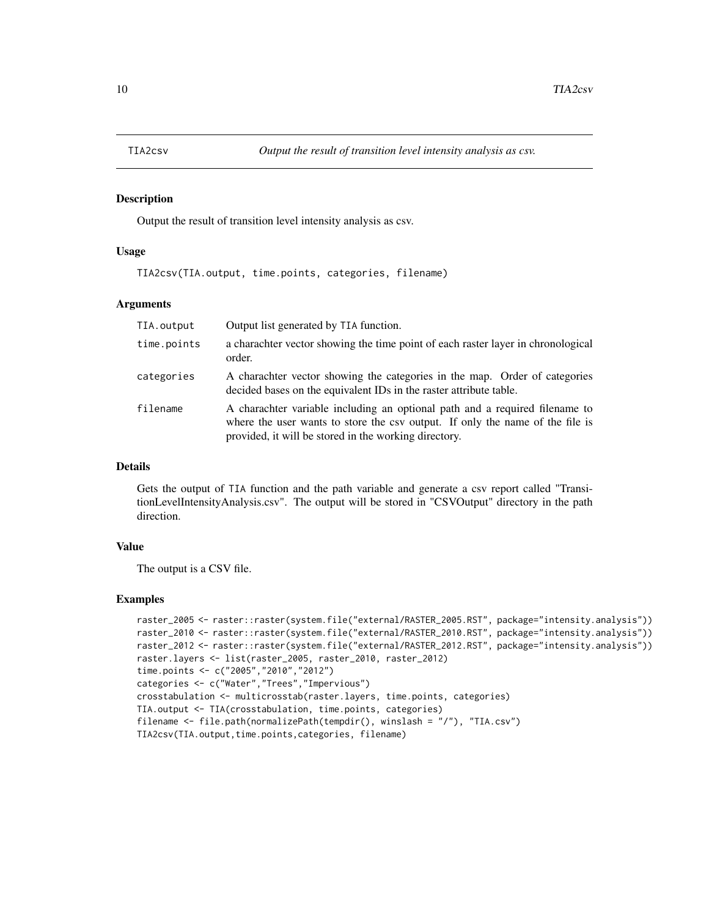<span id="page-9-0"></span>

Output the result of transition level intensity analysis as csv.

#### Usage

TIA2csv(TIA.output, time.points, categories, filename)

#### Arguments

| TIA.output  | Output list generated by TIA function.                                                                                                                                                                                |
|-------------|-----------------------------------------------------------------------------------------------------------------------------------------------------------------------------------------------------------------------|
| time.points | a charachter vector showing the time point of each raster layer in chronological<br>order.                                                                                                                            |
| categories  | A charachter vector showing the categories in the map. Order of categories<br>decided bases on the equivalent IDs in the raster attribute table.                                                                      |
| filename    | A charachter variable including an optional path and a required filename to<br>where the user wants to store the csy output. If only the name of the file is<br>provided, it will be stored in the working directory. |

#### Details

Gets the output of TIA function and the path variable and generate a csv report called "TransitionLevelIntensityAnalysis.csv". The output will be stored in "CSVOutput" directory in the path direction.

# Value

The output is a CSV file.

```
raster_2005 <- raster::raster(system.file("external/RASTER_2005.RST", package="intensity.analysis"))
raster_2010 <- raster::raster(system.file("external/RASTER_2010.RST", package="intensity.analysis"))
raster_2012 <- raster::raster(system.file("external/RASTER_2012.RST", package="intensity.analysis"))
raster.layers <- list(raster_2005, raster_2010, raster_2012)
time.points <- c("2005","2010","2012")
categories <- c("Water","Trees","Impervious")
crosstabulation <- multicrosstab(raster.layers, time.points, categories)
TIA.output <- TIA(crosstabulation, time.points, categories)
filename <- file.path(normalizePath(tempdir(), winslash = "/"), "TIA.csv")
TIA2csv(TIA.output,time.points,categories, filename)
```